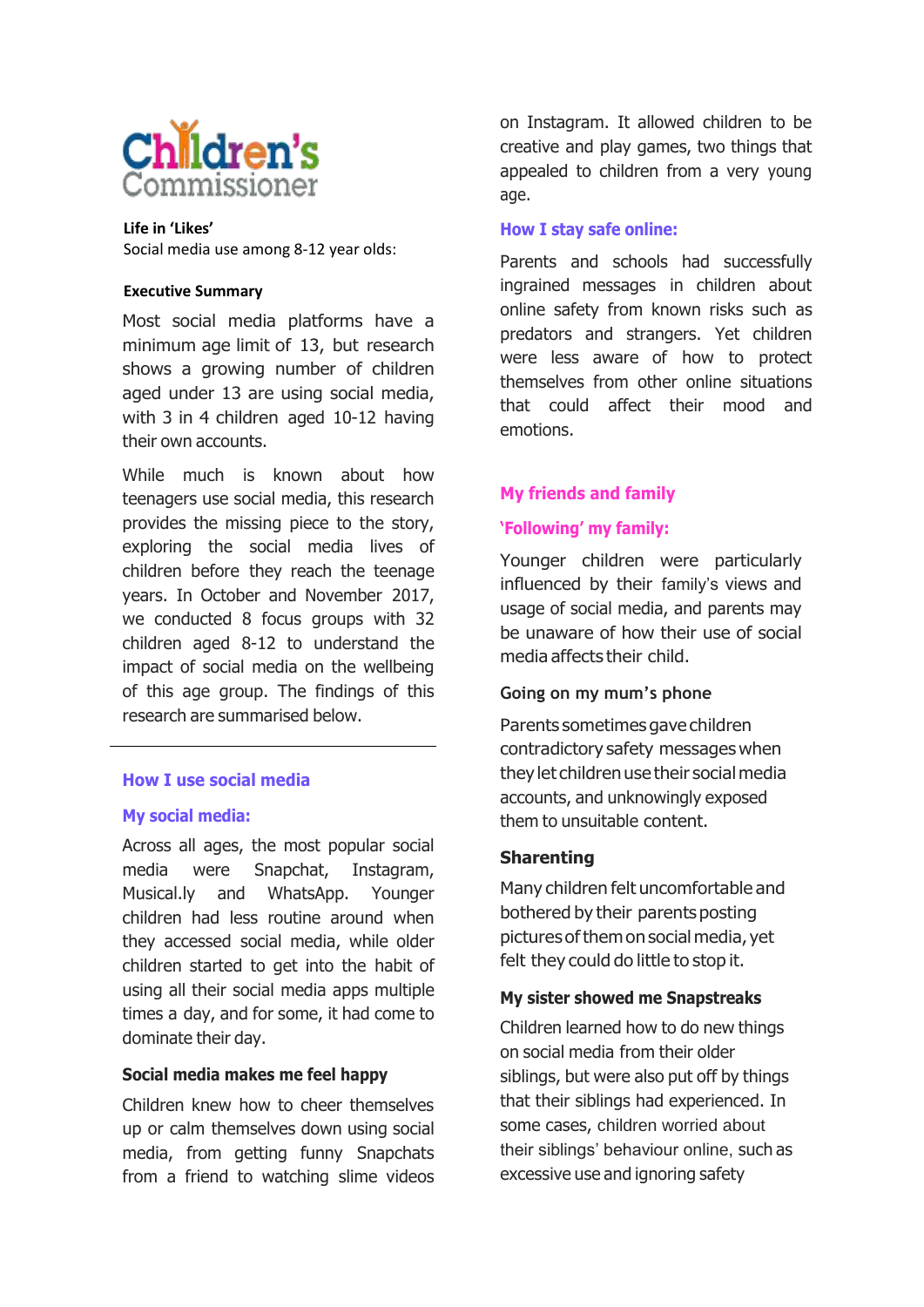

 **Life in 'Likes'** Social media use among 8-12 year olds:

#### **Executive Summary**

Most social media platforms have a minimum age limit of 13, but research shows a growing number of children aged under 13 are using social media, with 3 in 4 children aged 10-12 having their own accounts.

While much is known about how teenagers use social media, this research provides the missing piece to the story, exploring the social media lives of children before they reach the teenage years. In October and November 2017, we conducted 8 focus groups with 32 children aged 8-12 to understand the impact of social media on the wellbeing of this age group. The findings of this research are summarised below.

# **How I use social media**

### **My social media:**

Across all ages, the most popular social media were Snapchat, Instagram, Musical.ly and WhatsApp. Younger children had less routine around when they accessed social media, while older children started to get into the habit of using all their social media apps multiple times a day, and for some, it had come to dominate their day.

### **Social media makes me feel happy**

Children knew how to cheer themselves up or calm themselves down using social media, from getting funny Snapchats from a friend to watching slime videos on Instagram. It allowed children to be creative and play games, two things that appealed to children from a very young age.

## **How I stay safe online:**

Parents and schools had successfully ingrained messages in children about online safety from known risks such as predators and strangers. Yet children were less aware of how to protect themselves from other online situations that could affect their mood and emotions.

### **My friends and family**

# **'Following' my family:**

Younger children were particularly influenced by their family's views and usage of social media, and parents may be unaware of how their use of social media affects their child.

### **Going on my mum's phone**

Parents sometimes gave children contradictory safety messageswhen they let children use their social media accounts, and unknowingly exposed them to unsuitable content.

### **Sharenting**

Many children felt uncomfortable and bothered by their parents posting picturesofthemonsocialmedia, yet felt they could do little to stop it.

### **My sister showed me Snapstreaks**

Children learned how to do new things on social media from their older siblings, but were also put off by things that their siblings had experienced. In some cases, children worried about their siblings' behaviour online, such as excessive use and ignoring safety